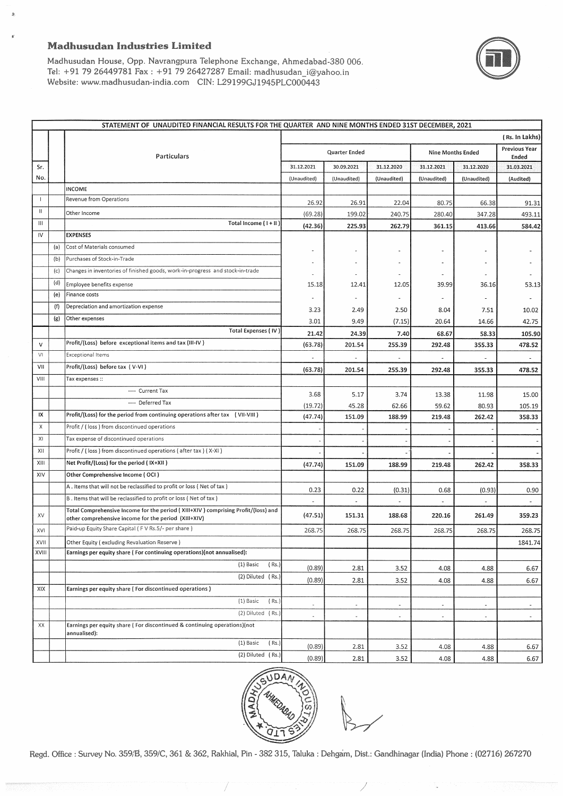### Madhusudan Industries Limited



Madhusudan House, Opp. Navrangpura Telephone Exchange, Ahmedabad-380 006. Tel: +91 79 26449781 Fax: +91 79 26427287 Email: madhusudan\_i@yahoo.in Website: www.madhusudan-india.com CIN: L29199GJ1945PLC000443

|                                       |     | STATEMENT OF UNAUDITED FINANCIAL RESULTS FOR THE QUARTER AND NINE MONTHS ENDED 31ST DECEMBER, 2021<br>(Rs. In Lakhs) |                          |                |              |                          |                          |                               |  |
|---------------------------------------|-----|----------------------------------------------------------------------------------------------------------------------|--------------------------|----------------|--------------|--------------------------|--------------------------|-------------------------------|--|
|                                       |     | Particulars                                                                                                          | Quarter Ended            |                |              | Nine Months Ended        |                          | <b>Previous Year</b><br>Ended |  |
| Sr.                                   |     |                                                                                                                      | 31.12.2021               | 30.09.2021     | 31.12.2020   | 31.12.2021               | 31.12.2020               | 31.03.2021                    |  |
| No.                                   |     |                                                                                                                      | (Unaudited)              | (Unaudited)    | (Unaudited)  | (Unaudited)              | (Unaudited)              | (Audited)                     |  |
|                                       |     | <b>INCOME</b>                                                                                                        |                          |                |              |                          |                          |                               |  |
| $\mathbf{I}$                          |     | Revenue from Operations                                                                                              | 26.92                    | 26.91          | 22.04        | 80.75                    | 66.38                    | 91.31                         |  |
| $\begin{array}{c} \hline \end{array}$ |     | Other Income                                                                                                         | (69.28)                  | 199.02         | 240.75       | 280.40                   | 347.28                   | 493.11                        |  |
| $\mathbf{III}$                        |     | Total Income (1+II)                                                                                                  | (42.36)                  | 225.93         | 262.79       | 361.15                   | 413.66                   | 584.42                        |  |
| IV                                    |     | <b>EXPENSES</b>                                                                                                      |                          |                |              |                          |                          |                               |  |
|                                       | (a) | Cost of Materials consumed                                                                                           |                          |                |              |                          |                          |                               |  |
|                                       | (b) | Purchases of Stock-in-Trade                                                                                          |                          |                |              |                          |                          |                               |  |
|                                       | (c) | Changes in inventories of finished goods, work-in-progress and stock-in-trade                                        |                          |                |              |                          |                          |                               |  |
|                                       | (d) | Employee benefits expense                                                                                            | 15.18                    | 12.41          | 12.05        | 39.99                    | 36.16                    | 53.13                         |  |
|                                       | (e) | Finance costs                                                                                                        |                          |                |              |                          |                          |                               |  |
|                                       | (f) | Depreciation and amortization expense                                                                                | 3.23                     | 2.49           | 2.50         | 8.04                     | 7.51                     | 10.02                         |  |
|                                       | (g) | Other expenses                                                                                                       | 3.01                     | 9.49           | (7.15)       | 20.64                    | 14.66                    | 42.75                         |  |
|                                       |     | Total Expenses (IV)                                                                                                  | 21.42                    | 24.39          | 7.40         | 68.67                    | 58.33                    | 105.90                        |  |
| $\mathsf{V}$                          |     | Profit/(Loss) before exceptional items and tax (III-IV)                                                              | (63.78)                  | 201.54         | 255.39       | 292.48                   | 355.33                   | 478.52                        |  |
| VI                                    |     | <b>Exceptional Items</b>                                                                                             |                          |                |              |                          |                          |                               |  |
| VII                                   |     | Profit/(Loss) before tax (V-VI)                                                                                      | (63.78)                  | 201.54         | 255.39       | 292.48                   | 355.33                   | 478.52                        |  |
| VIII                                  |     | Tax expenses ::                                                                                                      |                          |                |              |                          |                          |                               |  |
|                                       |     | ---- Current Tax                                                                                                     | 3.68                     | 5.17           | 3.74         | 13.38                    | 11.98                    | 15.00                         |  |
|                                       |     | ---- Deferred Tax                                                                                                    | (19.72)                  | 45.28          | 62.66        | 59.62                    | 80.93                    | 105.19                        |  |
| IX                                    |     | Profit/(Loss) for the period from continuing operations after tax (VII-VIII)                                         | (47.74)                  | 151.09         | 188.99       | 219.48                   | 262.42                   | 358.33                        |  |
| X                                     |     | Profit / (loss) from discontinued operations                                                                         |                          |                |              |                          |                          |                               |  |
| X                                     |     | Tax expense of discontinued operations                                                                               |                          |                |              |                          |                          |                               |  |
| XII                                   |     | Profit / (loss) from discontinued operations (after tax) (X-XI)                                                      |                          |                |              |                          |                          |                               |  |
| XIII                                  |     | Net Profit/(Loss) for the period ( IX+XII )                                                                          | (47.74)                  | 151.09         | 188.99       | 219.48                   | 262.42                   | 358.33                        |  |
| XIV                                   |     | Other Comprehensive Income (OCI)                                                                                     |                          |                |              |                          |                          |                               |  |
|                                       |     | A . Items that will not be reclassified to profit or loss ( Net of tax )                                             |                          |                |              |                          |                          |                               |  |
|                                       |     | B. Items that will be reclassified to profit or loss (Net of tax)                                                    | 0.23                     | 0.22           | (0.31)       | 0.68                     | (0.93)                   | 0.90                          |  |
|                                       |     | Total Comprehensive Income for the period (XIII+XIV) comprising Profit/(loss) and                                    |                          |                |              |                          |                          |                               |  |
| XV                                    |     | other comprehensive income for the period (XIII+XIV)                                                                 | (47.51)                  | 151.31         | 188.68       | 220.16                   | 261.49                   | 359.23                        |  |
| XVI                                   |     | Paid-up Equity Share Capital (FV Rs.5/- per share)                                                                   | 268.75                   | 268.75         | 268.75       | 268.75                   | 268.75                   | 268.75                        |  |
| XVII                                  |     | Other Equity (excluding Revaluation Reserve)                                                                         |                          |                |              |                          |                          | 1841.74                       |  |
| XVIII                                 |     | Earnings per equity share ( For continuing operations)(not annualised):                                              |                          |                |              |                          |                          |                               |  |
|                                       |     | (1) Basic<br>(Rs.)                                                                                                   | (0.89)                   | 2.81           | 3.52         | 4.08                     | 4.88                     | 6.67                          |  |
|                                       |     | (2) Diluted (Rs.)                                                                                                    | (0.89)                   | 2.81           | 3.52         | 4.08                     | 4.88                     | 6.67                          |  |
| XIX                                   |     | Earnings per equity share (For discontinued operations)                                                              |                          |                |              |                          |                          |                               |  |
|                                       |     | (1) Basic<br>(Rs.)                                                                                                   | $\sim$                   | $\sim$         | ÷.           | $\overline{\phantom{a}}$ | ÷,                       | $\blacksquare$                |  |
|                                       |     | (2) Diluted (Rs.)                                                                                                    | $\overline{\phantom{a}}$ | $\overline{a}$ | $\mathbb{Z}$ | $\blacksquare$           | $\overline{\phantom{a}}$ | $\overline{\phantom{a}}$      |  |
| XX                                    |     | Earnings per equity share (For discontinued & continuing operations)(not                                             |                          |                |              |                          |                          |                               |  |
|                                       |     | annualised):                                                                                                         |                          |                |              |                          |                          |                               |  |
|                                       |     | (1) Basic<br>(Rs.)                                                                                                   | (0.89)                   | 2.81           | 3.52         | 4.08                     | 4.88                     | 6.67                          |  |
|                                       |     | (2) Diluted (Rs.)                                                                                                    | (0.89)                   | 2.81           | 3.52         | 4.08                     | 4.88                     | 6.67                          |  |



I /

Regd. Office : Survey No. 359/B, 359/C, 361 & 362, Rakhial, Pin - 382 315, Taluka : Dehgam, Dist.: Gandhinagar (India) Phone : (02716) 267270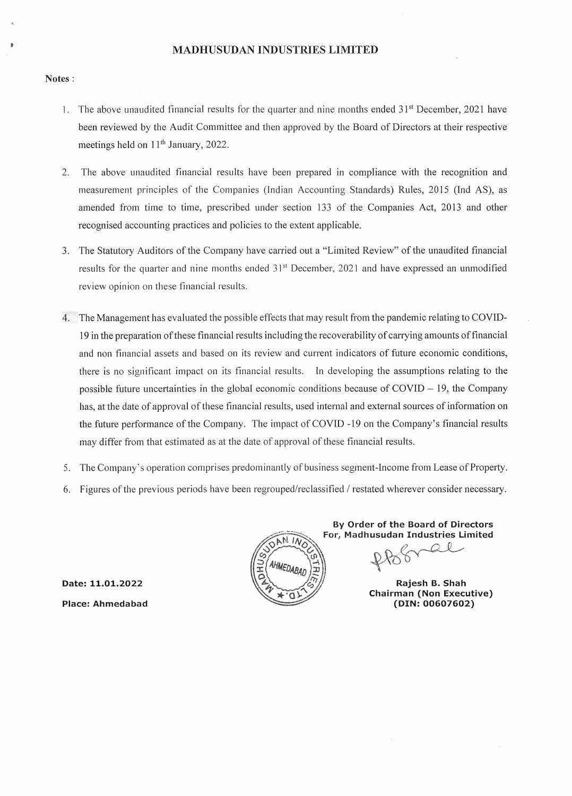## ,. **MADHUSUDAN INDUSTRIES LIMITED**

#### **Notes:**

- 1. The above unaudited financial results for the quarter and nine months ended 31<sup>st</sup> December, 2021 have been reviewed by the Audit Committee and then approved by the Board of Directors at their respective meetings held on  $11<sup>th</sup>$  January, 2022.
- 2. The above unaudited financial results have been prepared in compliance with the recognition and measurement principles of the Companies (Indian Accounting Standards) Rules, 2015 (Ind AS), as amended from time to time, prescribed under section 133 of the Companies Act, 2013 and other recognised accounting practices and policies to the extent applicable.
- 3. The Statutory Auditors of the Company have carried out a "Limited Review" of the unaudited financial results for the quarter and nine months ended 31<sup>st</sup> December, 2021 and have expressed an unmodified review opinion on these financial results.
- (" The Management has evaluated the possible effects that may result from the pandemic relating to COVID-19 in the preparation of these financial results including the recoverability of carrying amounts of financial and non financial assets and based on its review and current indicators of future economic conditions, there is no significant impact on its financial results. In developing the assumptions relating to the possible future uncertainties in the global economic conditions because of  $\text{COVID} - 19$ , the Company has, at the date of approval of these financial results, used internal and external sources of information on the future performance of the Company. The impact of COVID -19 on the Company's financial results may differ from that estimated as at the date of approval of these financial results.
- 5. The Company's operation comprises predominantly of business segment-Income from Lease of Property.
- 6. Figures of the previous periods have been regrouped/reclassified / restated wherever consider necessary.



**By Order of the Board of Directors For, Madhusudan Industries Limited** 

r of the Board of Directors<br>usudan Industries Limited<br> $R$ 

**Chairman (Non Executive) (DIN:00607602)** 

**Date: 11.01.2022 Place: Ahmedabad**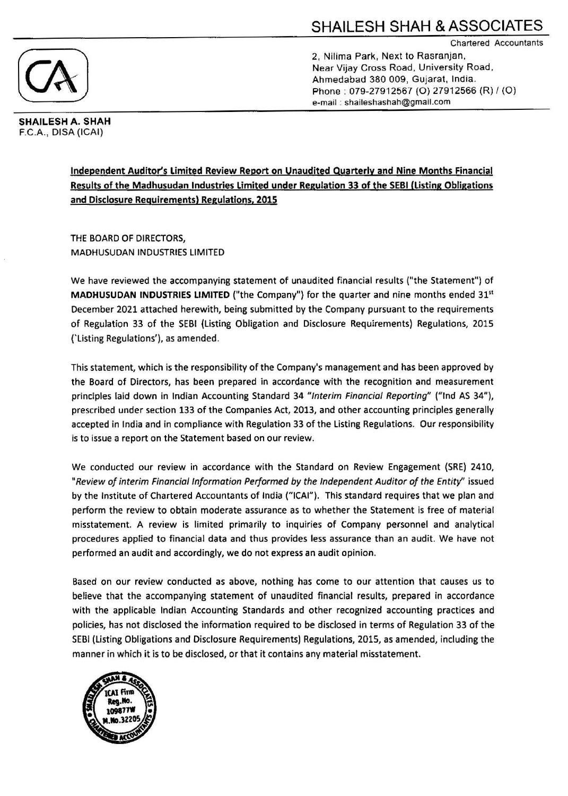Chartered Accountants



2, Nilima Park, Next to Rasranjan. Near Vijay Cross Road. University Road , Ahmedabad 380 009, Gujarat, India. Phone: 079-27912567 (O) 27912566 (R) / (O) e-mail : shaileshashah@gmail.com

SHAILESH A. SHAH F.C.A., DISA (ICAI)

> Independent Auditor's Limited Review Report on Unaudited Quarterly and Nine Months Financial Results of the Madhusudan Industries limited under Regulation 33 of the SEBI (Listing Obligations and Disclosure Requirements) Regulations, 2015

THE BOARD OF DIRECTORS, MADHUSUDAN INDUSTRIES LIMITED

We have reviewed the accompanying statement of unaudited financial results ("the Statement") of **MADHUSUDAN INDUSTRIES LIMITED** ("the Company") for the quarter and nine months ended  $31<sup>st</sup>$ December 2021 attached herewith, being submitted by the Company pursuant to the requirements of Regulation 33 of the SEBI (Listing Obligation and Disclosure Requirements) Regulations, 2015 ('Listing Regulations'), as amended.

This statement, which is the responsibility of the Company's management and has been approved by the Board of Directors, has been prepared in accordance with the recognition and measurement principles laid down in Indian Accounting Standard 34 "Interim Financial Reporting" ("Ind AS 34"), prescribed under section 133 of the Companies Act, 2013, and other accounting principles generally accepted in India and in compliance with Regulation 33 of the Listing Regulations. Our responsibility is to issue a report on the Statement based on our review.

We conducted our review in accordance with the Standard on Review Engagement (SRE) 2410, "Review of interim Financial Information Performed by the Independent Auditor of the Entity" issued by the Institute of Chartered Accountants of India ("ICAI"). This standard requires that we plan and perform the review to obtain moderate assurance as to whether the Statement is free of material misstatement. A review is limited primarily to inquiries of Company personnel and analytical procedures applied to financial data and thus provides less assurance than an audit. We have not performed an audit and accordingly, we do not express an audit opinion.

Based on our review conducted as above, nothing has come to our attention that causes us to believe that the accompanying statement of unaudited financial results, prepared in accordance with the applicable Indian Accounting Standards and other recognized accounting practices and policies, has not disclosed the information required to be disclosed in terms of Regulation 33 of the SEBI (Listing Obligations and Disclosure Requirements) Regulations, 2015, as amended, including the manner in which it is to be disclosed, or that it contains any material misstatement.

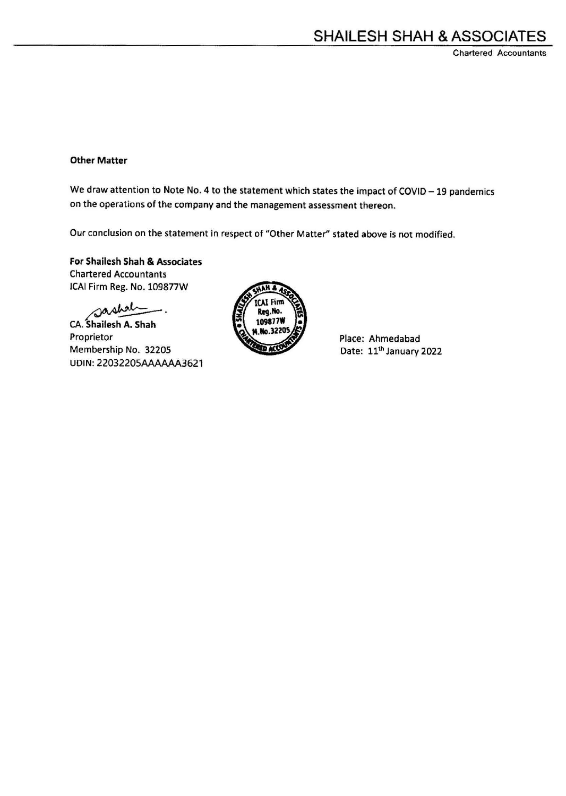Chartered Accountants

## Other Matter

We draw attention to Note No. 4 to the statement which states the impact of COVID - 19 pandemics on the operations of the company and the management assessment thereon.

Our conclusion on the statement in respect of "Other Matter" stated above is not modified.

For Shailesh Shah & Associates Chartered Accountants JCAI Firm Reg. No. 109877W

sashah \_\_

CA. Shailesh A. Shah Proprietor Membership No. 32205 UDIN: 2203220SAAAAAA3621



Place: Ahmedabad Date: 11<sup>th</sup> January 2022